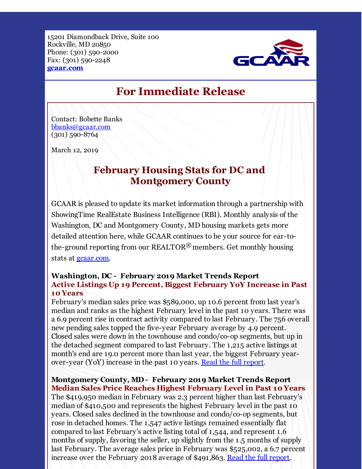15201 Diamondback Drive, Suite 100 Rockville, MD 20850 Phone: (301) 590-2000 Fax: (301) 590-2248 **[gcaar.com](http://r20.rs6.net/tn.jsp?f=00105_NKCJmz_bO0QY7oXVb90J0467R_clHLfan3I9eu0TzatrokbX9tDDYkRiUj4pbNax1UyHAx_Ev8uIyHqTMl-qHJHS2zvcPdoGH-lRof_ffYyN5mXwUzuCvyEHKRF98ymreK7wrxFbzOyAOVxV8b5QbxJDM9lPegXPkX_gyAYU=&c=&ch=)**



## **For Immediate Release**

Contact: Bobette Banks [bbanks@gcaar.com](mailto:bbanks@gcaar.com) (301) 590-8764

March 12, 2019

## **February Housing Stats for DC and Montgomery County**

GCAAR is pleased to update its market information through a partnership with ShowingTime RealEstate Business Intelligence (RBI). Monthly analysis of the Washington, DC and Montgomery County, MD housing markets gets more detailed attention here, while GCAAR continues to be your source for ear-tothe-ground reporting from our REALTOR® members. Get monthly housing stats at [gcaar.com](http://r20.rs6.net/tn.jsp?f=00105_NKCJmz_bO0QY7oXVb90J0467R_clHLfan3I9eu0TzatrokbX9tFE8qUuk4UKk32MgyH5KlCoZmhb2ZO4skR_ojzh6cMcK8Tu2CKn4UHt9nZ1IfnoWapmEIztl_FCpKoBDmofM_X8gFyxjdhZqWQeUBQTgBK4Z2t6S2ptfBw5ytqAZGQ6yg1XAOcBWqY_1dPo6AEnOHxd-m_S3Ru_g-T8CGOLXsiYx&c=&ch=).

## **Washington, DC - February 2019 Market Trends Report Active Listings Up 19 Percent, Biggest February YoY Increase in Past 10 Years**

February's median sales price was \$589,000, up 10.6 percent from last year's median and ranks as the highest February level in the past 10 years. There was a 6.9 percent rise in contract activity compared to last February. The 756 overall new pending sales topped the five-year February average by 4.9 percent. Closed sales were down in the townhouse and condo/co-op segments, but up in the detached segment compared to last February. The 1,215 active listings at month's end are 19.0 percent more than last year, the biggest February yearover-year (YoY) increase in the past 10 years. <u>Read the full [report](http://r20.rs6.net/tn.jsp?f=00105_NKCJmz_bO0QY7oXVb90J0467R_clHLfan3I9eu0TzatrokbX9tK0tSGqM2fqbDwV8llPlp_v4QCMwZM-B8HYwQEM6pzZ664DjxfN_wRppFStjViAxfooIk0o-mA0_gHfamkRKVXRWIu9doW5pbFiiyW9pnc2g8j0I3VjhAs1MoHBuoowTbhAaYXwej-69ps1hpqQ5zipbqEtmnWVH9XDac0viObmgElx7DA0wzmrC7eOYdpBcD1oqBRJJnuvf&c=&ch=)</u>.

**Montgomery County, MD - February 2019 Market Trends Report Median Sales Price Reaches Highest February Level in Past 10 Years** The \$419,950 median in February was 2.3 percent higher than last February's median of \$410,500 and represents the highest February level in the past 10 years. Closed sales declined in the townhouse and condo/co-op segments, but rose in detached homes. The 1,547 active listings remained essentially flat compared to last February's active listing total of 1,544, and represent 1.6 months of supply, favoring the seller, up slightly from the 1.5 months of supply last February. The average sales price in February was \$525,002, a 6.7 percent increase over the February 2018 average of \$491,863. Read the full [report](http://r20.rs6.net/tn.jsp?f=00105_NKCJmz_bO0QY7oXVb90J0467R_clHLfan3I9eu0TzatrokbX9tK0tSGqM2fqbesPD1Op3DqnfJtrfSKxa8bIFNQvPyr-xDdNaJO1Uij2mGkbLjx9aGpH57F8JDeD6auSMN1-lrfpTvyvOBfkkCLye7hNRPi4sntiL_O8Qcbb1_NHPtD7FTdu-u8zl7csG4rryFnzPAuhnJTAyRugGMWH1IvB2GRNntf3qprEUxg2R4heTW9DLx74L4dRH8I7F&c=&ch=).